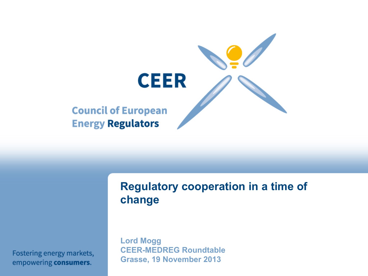

### **Regulatory cooperation in a time of change**

**Lord Mogg CEER-MEDREG Roundtable Grasse, 19 November 2013** 

Fostering energy markets, empowering consumers.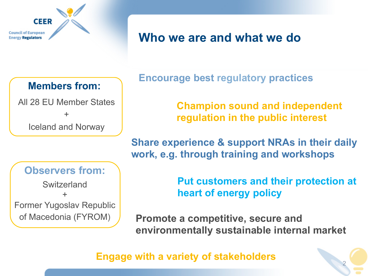

## **Who we are and what we do**

#### **Members from:**

All 28 EU Member States + Iceland and Norway

#### **Observers from:**

**Switzerland** + Former Yugoslav Republic of Macedonia (FYROM)

**Encourage best regulatory practices** 

**Champion sound and independent regulation in the public interest** 

**Share experience & support NRAs in their daily work, e.g. through training and workshops**

> **Put customers and their protection at heart of energy policy**

> > 2

**Promote a competitive, secure and environmentally sustainable internal market** 

**Engage with a variety of stakeholders**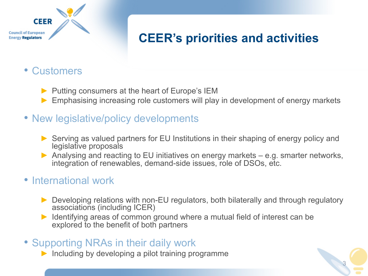#### **CEER Council of European Energy Regulators**

# **CEER's priorities and activities**

3

### • Customers

- ▶ Putting consumers at the heart of Europe's IEM
- Emphasising increasing role customers will play in development of energy markets
- New legislative/policy developments
	- ► Serving as valued partners for EU Institutions in their shaping of energy policy and legislative proposals
	- ▶ Analysing and reacting to EU initiatives on energy markets e.g. smarter networks, integration of renewables, demand-side issues, role of DSOs, etc.

### • International work

- ► Developing relations with non-EU regulators, both bilaterally and through regulatory associations (including ICER)
- Identifying areas of common ground where a mutual field of interest can be explored to the benefit of both partners
- Supporting NRAs in their daily work
	- Including by developing a pilot training programme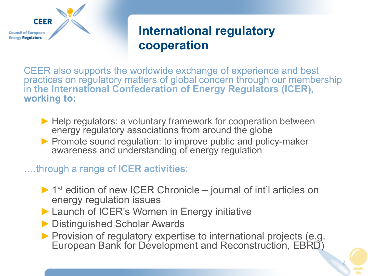

## **International regulatory cooperation**

CEER also supports the worldwide exchange of experience and best practices on regulatory matters of global concern through our membership in **the International Confederation of Energy Regulators (ICER), working to:** 

- ▶ Help regulators: a voluntary framework for cooperation between energy regulatory associations from around the globe
- ▶ Promote sound regulation: to improve public and policy-maker awareness and understanding of energy regulation

#### ….through a range of **ICER activities**:

- $\blacktriangleright$  1<sup>st</sup> edition of new ICER Chronicle journal of int'l articles on energy regulation issues
- ▶ Launch of ICER's Women in Energy initiative
- ▶ Distinguished Scholar Awards
- ▶ Provision of regulatory expertise to international projects (e.g. European Bank for Development and Reconstruction, EBRD)

4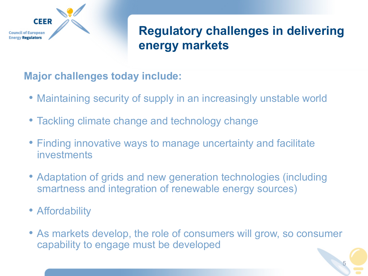

# **Regulatory challenges in delivering energy markets**

**Major challenges today include:** 

- Maintaining security of supply in an increasingly unstable world
- Tackling climate change and technology change
- Finding innovative ways to manage uncertainty and facilitate investments
- Adaptation of grids and new generation technologies (including smartness and integration of renewable energy sources)
- Affordability
- As markets develop, the role of consumers will grow, so consumer capability to engage must be developed

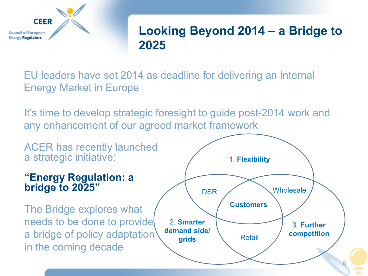

## **Looking Beyond 2014 – a Bridge to 2025**

EU leaders have set 2014 as deadline for delivering an Internal Energy Market in Europe

It's time to develop strategic foresight to guide post-2014 work and any enhancement of our agreed market framework

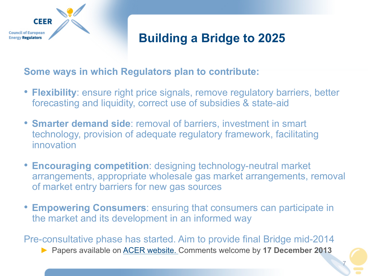

## **Building a Bridge to 2025**

#### **Some ways in which Regulators plan to contribute:**

- **Flexibility**: ensure right price signals, remove regulatory barriers, better forecasting and liquidity, correct use of subsidies & state-aid
- **Smarter demand side**: removal of barriers, investment in smart technology, provision of adequate regulatory framework, facilitating innovation
- **Encouraging competition**: designing technology-neutral market arrangements, appropriate wholesale gas market arrangements, removal of market entry barriers for new gas sources
- **Empowering Consumers**: ensuring that consumers can participate in the market and its development in an informed way

Pre-consultative phase has started. Aim to provide final Bridge mid-2014 ► Papers available on ACER website. Comments welcome by **17 December 2013** 

7